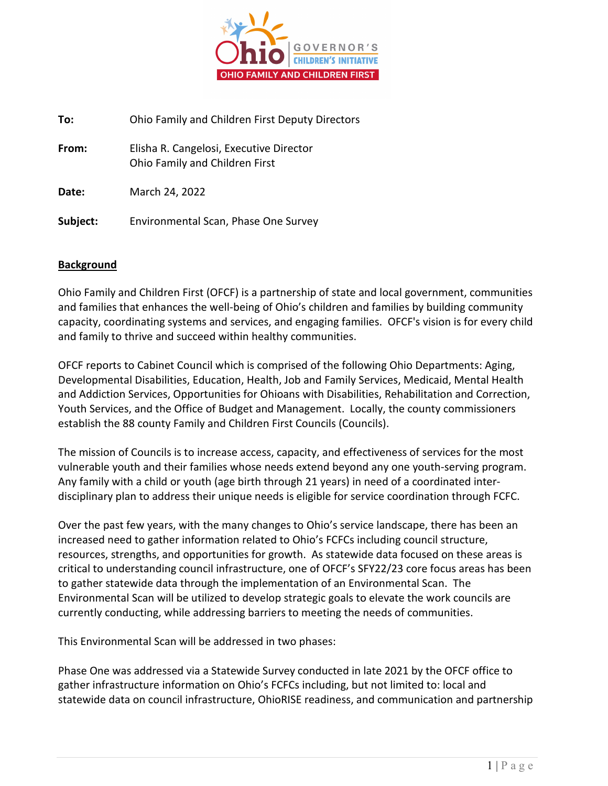

**To:** Ohio Family and Children First Deputy Directors **From:** Elisha R. Cangelosi, Executive Director Ohio Family and Children First **Date:** March 24, 2022 **Subject:** Environmental Scan, Phase One Survey

#### **Background**

Ohio Family and Children First (OFCF) is a partnership of state and local government, communities and families that enhances the well-being of Ohio's children and families by building community capacity, coordinating systems and services, and engaging families. OFCF's vision is for every child and family to thrive and succeed within healthy communities.

OFCF reports to Cabinet Council which is comprised of the following Ohio Departments: Aging, Developmental Disabilities, Education, Health, Job and Family Services, Medicaid, Mental Health and Addiction Services, Opportunities for Ohioans with Disabilities, Rehabilitation and Correction, Youth Services, and the Office of Budget and Management. Locally, the county commissioners establish the 88 county Family and Children First Councils (Councils).

The mission of Councils is to increase access, capacity, and effectiveness of services for the most vulnerable youth and their families whose needs extend beyond any one youth-serving program. Any family with a child or youth (age birth through 21 years) in need of a coordinated interdisciplinary plan to address their unique needs is eligible for service coordination through FCFC.

Over the past few years, with the many changes to Ohio's service landscape, there has been an increased need to gather information related to Ohio's FCFCs including council structure, resources, strengths, and opportunities for growth. As statewide data focused on these areas is critical to understanding council infrastructure, one of OFCF's SFY22/23 core focus areas has been to gather statewide data through the implementation of an Environmental Scan. The Environmental Scan will be utilized to develop strategic goals to elevate the work councils are currently conducting, while addressing barriers to meeting the needs of communities.

This Environmental Scan will be addressed in two phases:

Phase One was addressed via a Statewide Survey conducted in late 2021 by the OFCF office to gather infrastructure information on Ohio's FCFCs including, but not limited to: local and statewide data on council infrastructure, OhioRISE readiness, and communication and partnership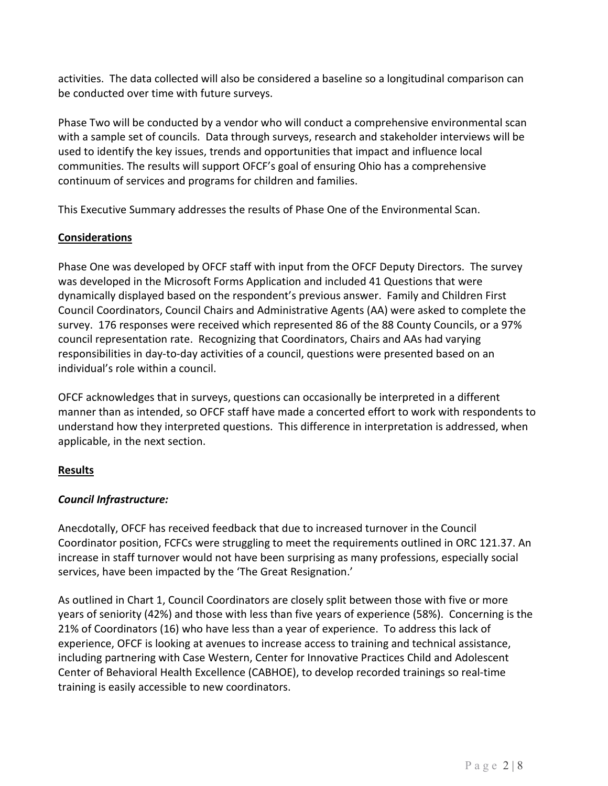activities. The data collected will also be considered a baseline so a longitudinal comparison can be conducted over time with future surveys.

Phase Two will be conducted by a vendor who will conduct a comprehensive environmental scan with a sample set of councils. Data through surveys, research and stakeholder interviews will be used to identify the key issues, trends and opportunities that impact and influence local communities. The results will support OFCF's goal of ensuring Ohio has a comprehensive continuum of services and programs for children and families.

This Executive Summary addresses the results of Phase One of the Environmental Scan.

## **Considerations**

Phase One was developed by OFCF staff with input from the OFCF Deputy Directors. The survey was developed in the Microsoft Forms Application and included 41 Questions that were dynamically displayed based on the respondent's previous answer. Family and Children First Council Coordinators, Council Chairs and Administrative Agents (AA) were asked to complete the survey. 176 responses were received which represented 86 of the 88 County Councils, or a 97% council representation rate. Recognizing that Coordinators, Chairs and AAs had varying responsibilities in day-to-day activities of a council, questions were presented based on an individual's role within a council.

OFCF acknowledges that in surveys, questions can occasionally be interpreted in a different manner than as intended, so OFCF staff have made a concerted effort to work with respondents to understand how they interpreted questions. This difference in interpretation is addressed, when applicable, in the next section.

## **Results**

## *Council Infrastructure:*

Anecdotally, OFCF has received feedback that due to increased turnover in the Council Coordinator position, FCFCs were struggling to meet the requirements outlined in ORC 121.37. An increase in staff turnover would not have been surprising as many professions, especially social services, have been impacted by the 'The Great Resignation.'

As outlined in Chart 1, Council Coordinators are closely split between those with five or more years of seniority (42%) and those with less than five years of experience (58%). Concerning is the 21% of Coordinators (16) who have less than a year of experience. To address this lack of experience, OFCF is looking at avenues to increase access to training and technical assistance, including partnering with Case Western, Center for Innovative Practices Child and Adolescent Center of Behavioral Health Excellence (CABHOE), to develop recorded trainings so real-time training is easily accessible to new coordinators.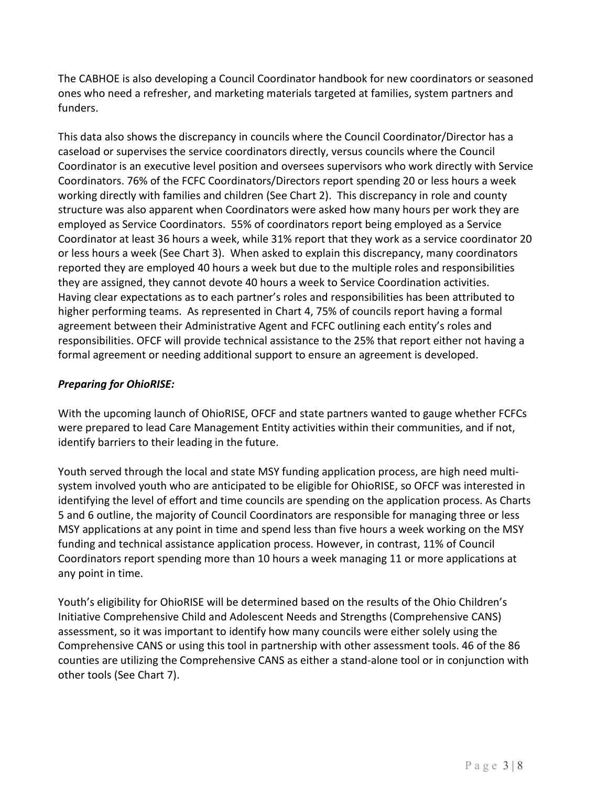The CABHOE is also developing a Council Coordinator handbook for new coordinators or seasoned ones who need a refresher, and marketing materials targeted at families, system partners and funders.

This data also shows the discrepancy in councils where the Council Coordinator/Director has a caseload or supervises the service coordinators directly, versus councils where the Council Coordinator is an executive level position and oversees supervisors who work directly with Service Coordinators. 76% of the FCFC Coordinators/Directors report spending 20 or less hours a week working directly with families and children (See Chart 2). This discrepancy in role and county structure was also apparent when Coordinators were asked how many hours per work they are employed as Service Coordinators. 55% of coordinators report being employed as a Service Coordinator at least 36 hours a week, while 31% report that they work as a service coordinator 20 or less hours a week (See Chart 3). When asked to explain this discrepancy, many coordinators reported they are employed 40 hours a week but due to the multiple roles and responsibilities they are assigned, they cannot devote 40 hours a week to Service Coordination activities. Having clear expectations as to each partner's roles and responsibilities has been attributed to higher performing teams. As represented in Chart 4, 75% of councils report having a formal agreement between their Administrative Agent and FCFC outlining each entity's roles and responsibilities. OFCF will provide technical assistance to the 25% that report either not having a formal agreement or needing additional support to ensure an agreement is developed.

## *Preparing for OhioRISE:*

With the upcoming launch of OhioRISE, OFCF and state partners wanted to gauge whether FCFCs were prepared to lead Care Management Entity activities within their communities, and if not, identify barriers to their leading in the future.

Youth served through the local and state MSY funding application process, are high need multisystem involved youth who are anticipated to be eligible for OhioRISE, so OFCF was interested in identifying the level of effort and time councils are spending on the application process. As Charts 5 and 6 outline, the majority of Council Coordinators are responsible for managing three or less MSY applications at any point in time and spend less than five hours a week working on the MSY funding and technical assistance application process. However, in contrast, 11% of Council Coordinators report spending more than 10 hours a week managing 11 or more applications at any point in time.

Youth's eligibility for OhioRISE will be determined based on the results of the Ohio Children's Initiative Comprehensive Child and Adolescent Needs and Strengths (Comprehensive CANS) assessment, so it was important to identify how many councils were either solely using the Comprehensive CANS or using this tool in partnership with other assessment tools. 46 of the 86 counties are utilizing the Comprehensive CANS as either a stand-alone tool or in conjunction with other tools (See Chart 7).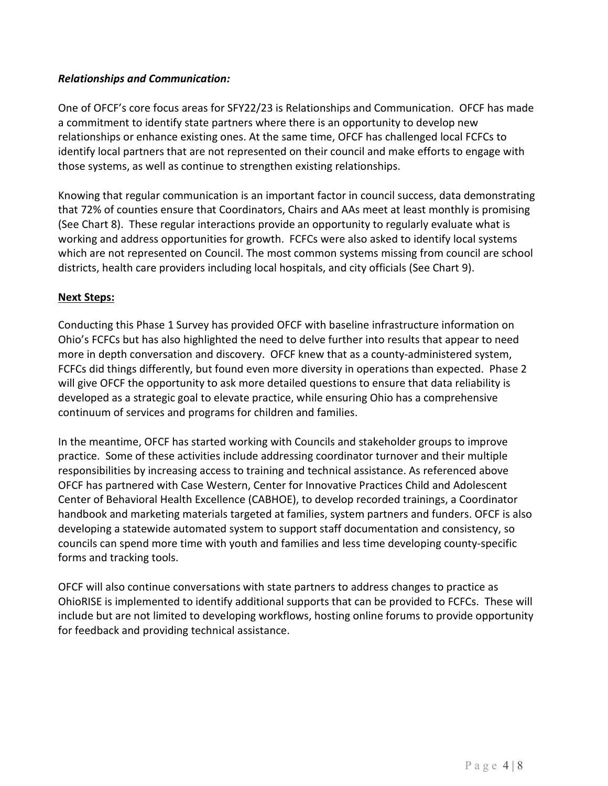#### *Relationships and Communication:*

One of OFCF's core focus areas for SFY22/23 is Relationships and Communication. OFCF has made a commitment to identify state partners where there is an opportunity to develop new relationships or enhance existing ones. At the same time, OFCF has challenged local FCFCs to identify local partners that are not represented on their council and make efforts to engage with those systems, as well as continue to strengthen existing relationships.

Knowing that regular communication is an important factor in council success, data demonstrating that 72% of counties ensure that Coordinators, Chairs and AAs meet at least monthly is promising (See Chart 8). These regular interactions provide an opportunity to regularly evaluate what is working and address opportunities for growth. FCFCs were also asked to identify local systems which are not represented on Council. The most common systems missing from council are school districts, health care providers including local hospitals, and city officials (See Chart 9).

#### **Next Steps:**

Conducting this Phase 1 Survey has provided OFCF with baseline infrastructure information on Ohio's FCFCs but has also highlighted the need to delve further into results that appear to need more in depth conversation and discovery. OFCF knew that as a county-administered system, FCFCs did things differently, but found even more diversity in operations than expected. Phase 2 will give OFCF the opportunity to ask more detailed questions to ensure that data reliability is developed as a strategic goal to elevate practice, while ensuring Ohio has a comprehensive continuum of services and programs for children and families.

In the meantime, OFCF has started working with Councils and stakeholder groups to improve practice. Some of these activities include addressing coordinator turnover and their multiple responsibilities by increasing access to training and technical assistance. As referenced above OFCF has partnered with Case Western, Center for Innovative Practices Child and Adolescent Center of Behavioral Health Excellence (CABHOE), to develop recorded trainings, a Coordinator handbook and marketing materials targeted at families, system partners and funders. OFCF is also developing a statewide automated system to support staff documentation and consistency, so councils can spend more time with youth and families and less time developing county-specific forms and tracking tools.

OFCF will also continue conversations with state partners to address changes to practice as OhioRISE is implemented to identify additional supports that can be provided to FCFCs. These will include but are not limited to developing workflows, hosting online forums to provide opportunity for feedback and providing technical assistance.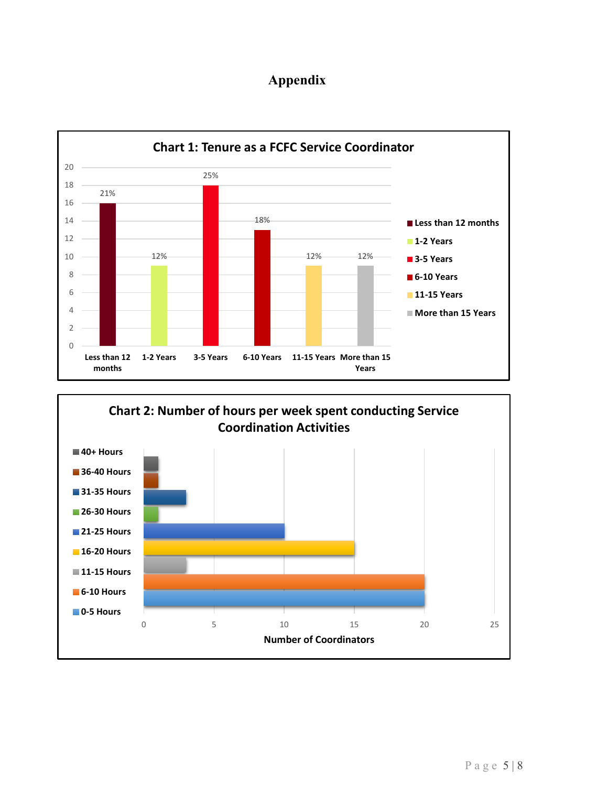# **Appendix**



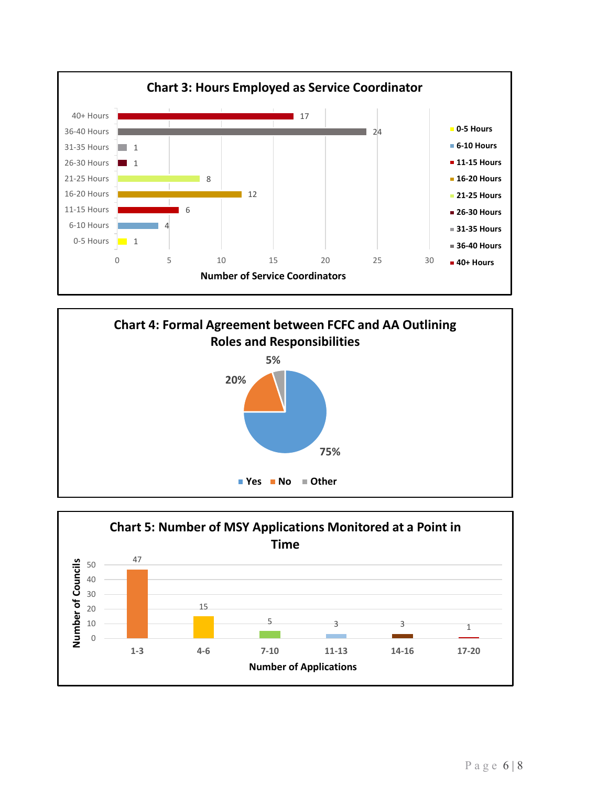



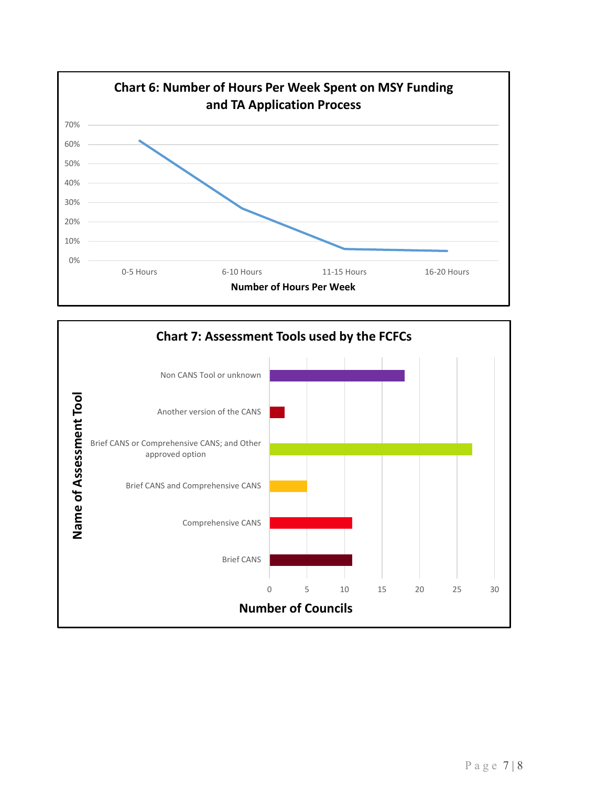